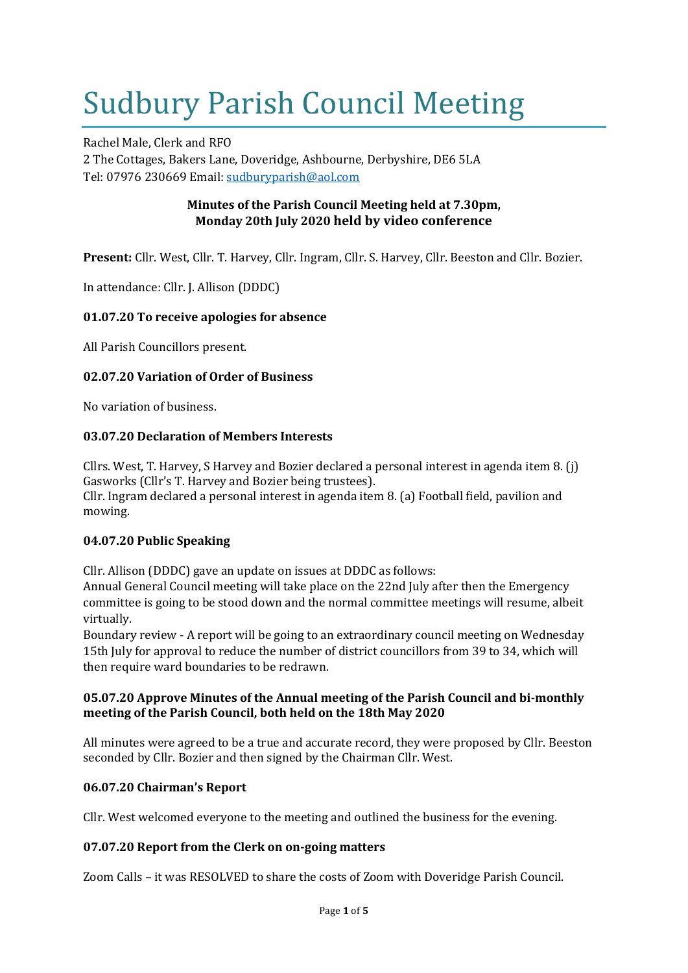# Sudbury Parish Council Meeting

Rachel Male, Clerk and RFO 2 The Cottages, Bakers Lane, Doveridge, Ashbourne, Derbyshire, DE6 5LA Tel: 07976 230669 Email: [sudburyparish@aol.com](mailto:sudburyparish@aol.com)

# **Minutes of the Parish Council Meeting held at 7.30pm, Monday 20th July 2020 held by video conference**

**Present:** Cllr. West, Cllr. T. Harvey, Cllr. Ingram, Cllr. S. Harvey, Cllr. Beeston and Cllr. Bozier.

In attendance: Cllr. J. Allison (DDDC)

# **01.07.20 To receive apologies for absence**

All Parish Councillors present.

# **02.07.20 Variation of Order of Business**

No variation of business.

## **03.07.20 Declaration of Members Interests**

Cllrs. West, T. Harvey, S Harvey and Bozier declared a personal interest in agenda item 8. (j) Gasworks (Cllr's T. Harvey and Bozier being trustees). Cllr. Ingram declared a personal interest in agenda item 8. (a) Football field, pavilion and mowing.

## **04.07.20 Public Speaking**

Cllr. Allison (DDDC) gave an update on issues at DDDC as follows:

Annual General Council meeting will take place on the 22nd July after then the Emergency committee is going to be stood down and the normal committee meetings will resume, albeit virtually.

Boundary review - A report will be going to an extraordinary council meeting on Wednesday 15th July for approval to reduce the number of district councillors from 39 to 34, which will then require ward boundaries to be redrawn.

## **05.07.20 Approve Minutes of the Annual meeting of the Parish Council and bi-monthly meeting of the Parish Council, both held on the 18th May 2020**

All minutes were agreed to be a true and accurate record, they were proposed by Cllr. Beeston seconded by Cllr. Bozier and then signed by the Chairman Cllr. West.

# **06.07.20 Chairman's Report**

Cllr. West welcomed everyone to the meeting and outlined the business for the evening.

# **07.07.20 Report from the Clerk on on-going matters**

Zoom Calls – it was RESOLVED to share the costs of Zoom with Doveridge Parish Council.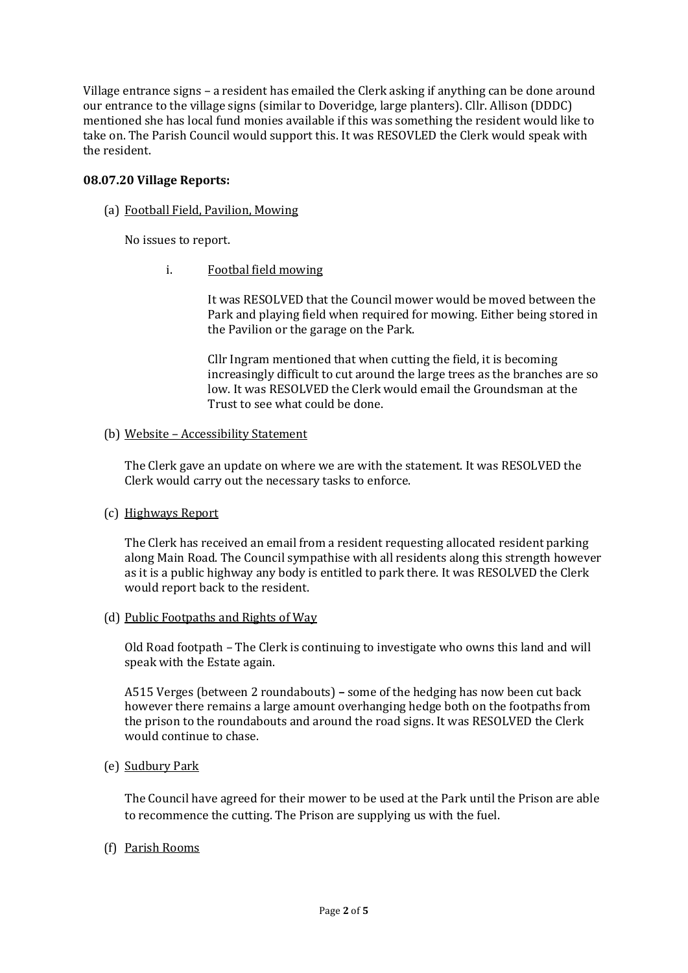Village entrance signs – a resident has emailed the Clerk asking if anything can be done around our entrance to the village signs (similar to Doveridge, large planters). Cllr. Allison (DDDC) mentioned she has local fund monies available if this was something the resident would like to take on. The Parish Council would support this. It was RESOVLED the Clerk would speak with the resident.

## **08.07.20 Village Reports:**

#### (a) Football Field, Pavilion, Mowing

No issues to report.

i. Footbal field mowing

It was RESOLVED that the Council mower would be moved between the Park and playing field when required for mowing. Either being stored in the Pavilion or the garage on the Park.

Cllr Ingram mentioned that when cutting the field, it is becoming increasingly difficult to cut around the large trees as the branches are so low. It was RESOLVED the Clerk would email the Groundsman at the Trust to see what could be done.

#### (b) Website – Accessibility Statement

The Clerk gave an update on where we are with the statement. It was RESOLVED the Clerk would carry out the necessary tasks to enforce.

## (c) Highways Report

The Clerk has received an email from a resident requesting allocated resident parking along Main Road. The Council sympathise with all residents along this strength however as it is a public highway any body is entitled to park there. It was RESOLVED the Clerk would report back to the resident.

## (d) Public Footpaths and Rights of Way

Old Road footpath – The Clerk is continuing to investigate who owns this land and will speak with the Estate again.

A515 Verges (between 2 roundabouts) **–** some of the hedging has now been cut back however there remains a large amount overhanging hedge both on the footpaths from the prison to the roundabouts and around the road signs. It was RESOLVED the Clerk would continue to chase.

(e) Sudbury Park

The Council have agreed for their mower to be used at the Park until the Prison are able to recommence the cutting. The Prison are supplying us with the fuel.

(f) Parish Rooms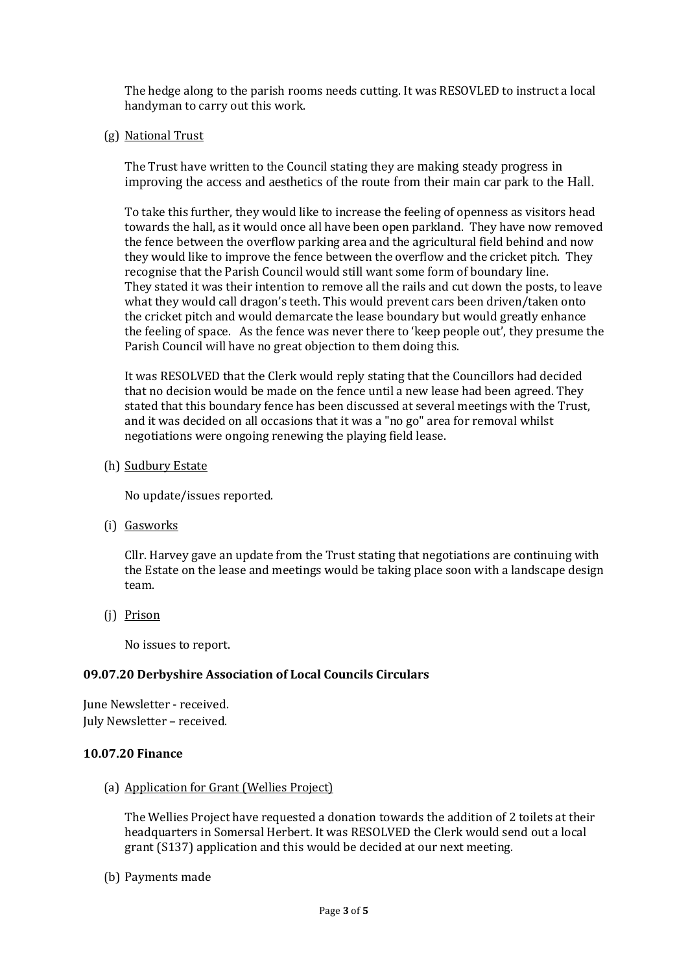The hedge along to the parish rooms needs cutting. It was RESOVLED to instruct a local handyman to carry out this work.

(g) National Trust

The Trust have written to the Council stating they are making steady progress in improving the access and aesthetics of the route from their main car park to the Hall.

To take this further, they would like to increase the feeling of openness as visitors head towards the hall, as it would once all have been open parkland. They have now removed the fence between the overflow parking area and the agricultural field behind and now they would like to improve the fence between the overflow and the cricket pitch. They recognise that the Parish Council would still want some form of boundary line. They stated it was their intention to remove all the rails and cut down the posts, to leave what they would call dragon's teeth. This would prevent cars been driven/taken onto the cricket pitch and would demarcate the lease boundary but would greatly enhance the feeling of space. As the fence was never there to 'keep people out', they presume the Parish Council will have no great objection to them doing this.

It was RESOLVED that the Clerk would reply stating that the Councillors had decided that no decision would be made on the fence until a new lease had been agreed. They stated that this boundary fence has been discussed at several meetings with the Trust, and it was decided on all occasions that it was a "no go" area for removal whilst negotiations were ongoing renewing the playing field lease.

(h) Sudbury Estate

No update/issues reported.

(i) Gasworks

Cllr. Harvey gave an update from the Trust stating that negotiations are continuing with the Estate on the lease and meetings would be taking place soon with a landscape design team.

(j) Prison

No issues to report.

## **09.07.20 Derbyshire Association of Local Councils Circulars**

June Newsletter - received. July Newsletter – received.

## **10.07.20 Finance**

(a) Application for Grant (Wellies Project)

The Wellies Project have requested a donation towards the addition of 2 toilets at their headquarters in Somersal Herbert. It was RESOLVED the Clerk would send out a local grant (S137) application and this would be decided at our next meeting.

(b) Payments made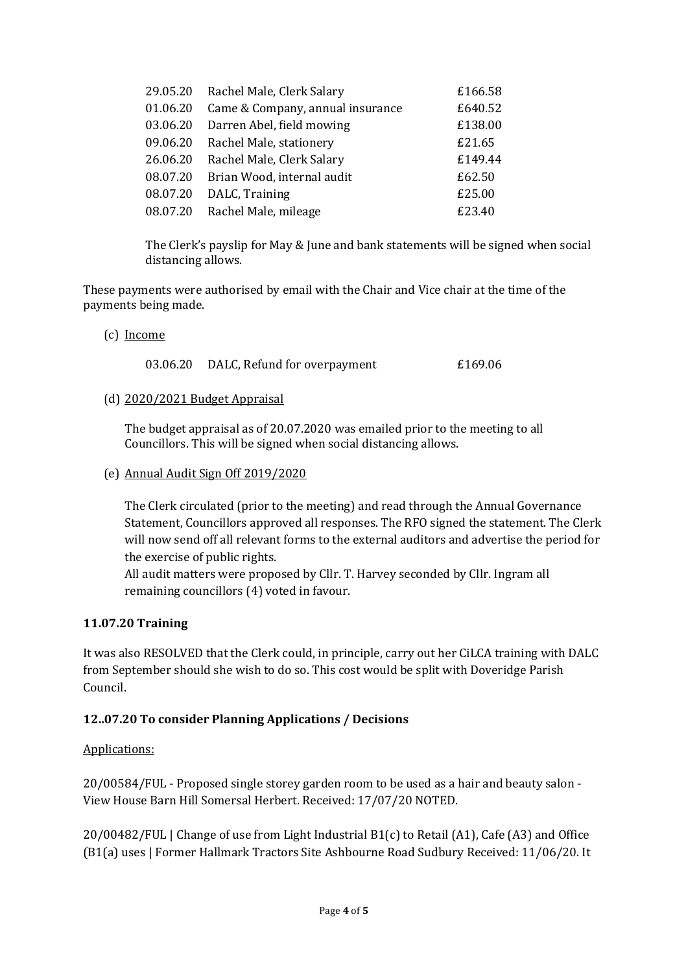| 29.05.20 | Rachel Male, Clerk Salary        | £166.58 |
|----------|----------------------------------|---------|
| 01.06.20 | Came & Company, annual insurance | £640.52 |
| 03.06.20 | Darren Abel, field mowing        | £138.00 |
| 09.06.20 | Rachel Male, stationery          | £21.65  |
| 26.06.20 | Rachel Male, Clerk Salary        | £149.44 |
| 08.07.20 | Brian Wood, internal audit       | £62.50  |
| 08.07.20 | DALC, Training                   | £25.00  |
| 08.07.20 | Rachel Male, mileage             | £23.40  |

The Clerk's payslip for May & June and bank statements will be signed when social distancing allows.

These payments were authorised by email with the Chair and Vice chair at the time of the payments being made.

(c) Income

03.06.20 DALC, Refund for overpayment £169.06

(d) 2020/2021 Budget Appraisal

The budget appraisal as of 20.07.2020 was emailed prior to the meeting to all Councillors. This will be signed when social distancing allows.

#### (e) Annual Audit Sign Off 2019/2020

The Clerk circulated (prior to the meeting) and read through the Annual Governance Statement, Councillors approved all responses. The RFO signed the statement. The Clerk will now send off all relevant forms to the external auditors and advertise the period for the exercise of public rights.

All audit matters were proposed by Cllr. T. Harvey seconded by Cllr. Ingram all remaining councillors (4) voted in favour.

## **11.07.20 Training**

It was also RESOLVED that the Clerk could, in principle, carry out her CiLCA training with DALC from September should she wish to do so. This cost would be split with Doveridge Parish Council.

## **12..07.20 To consider Planning Applications / Decisions**

## Applications:

20/00584/FUL - Proposed single storey garden room to be used as a hair and beauty salon - View House Barn Hill Somersal Herbert. Received: 17/07/20 NOTED.

20/00482/FUL | Change of use from Light Industrial B1(c) to Retail (A1), Cafe (A3) and Office (B1(a) uses | Former Hallmark Tractors Site Ashbourne Road Sudbury Received: 11/06/20. It